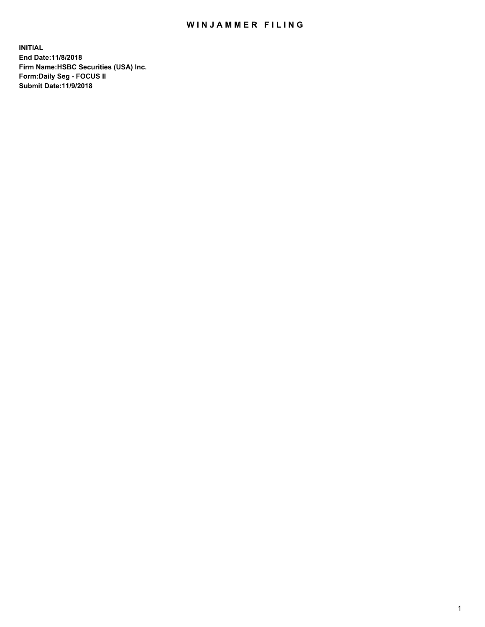## WIN JAMMER FILING

**INITIAL End Date:11/8/2018 Firm Name:HSBC Securities (USA) Inc. Form:Daily Seg - FOCUS II Submit Date:11/9/2018**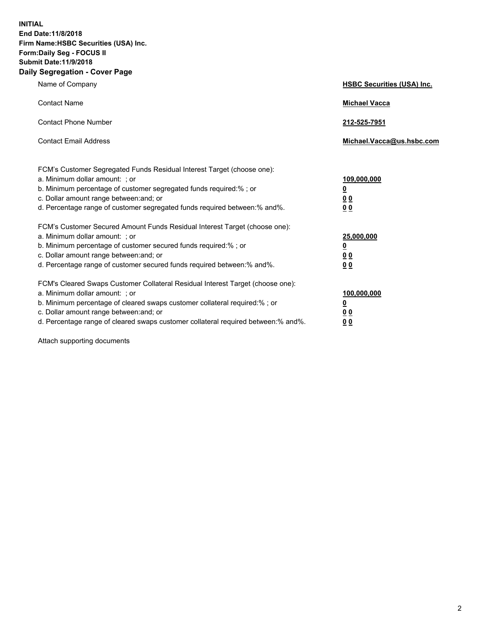**INITIAL End Date:11/8/2018 Firm Name:HSBC Securities (USA) Inc. Form:Daily Seg - FOCUS II Submit Date:11/9/2018 Daily Segregation - Cover Page**

| Name of Company                                                                                                                                                                                                                                                                                                                | <b>HSBC Securities (USA) Inc.</b>                           |
|--------------------------------------------------------------------------------------------------------------------------------------------------------------------------------------------------------------------------------------------------------------------------------------------------------------------------------|-------------------------------------------------------------|
| <b>Contact Name</b>                                                                                                                                                                                                                                                                                                            | <b>Michael Vacca</b>                                        |
| <b>Contact Phone Number</b>                                                                                                                                                                                                                                                                                                    | 212-525-7951                                                |
| <b>Contact Email Address</b>                                                                                                                                                                                                                                                                                                   | Michael.Vacca@us.hsbc.com                                   |
| FCM's Customer Segregated Funds Residual Interest Target (choose one):<br>a. Minimum dollar amount: : or<br>b. Minimum percentage of customer segregated funds required:% ; or<br>c. Dollar amount range between: and; or<br>d. Percentage range of customer segregated funds required between:% and%.                         | 109,000,000<br><u>0</u><br>0 <sub>0</sub><br>0 <sub>0</sub> |
| FCM's Customer Secured Amount Funds Residual Interest Target (choose one):<br>a. Minimum dollar amount: ; or<br>b. Minimum percentage of customer secured funds required:%; or<br>c. Dollar amount range between: and; or<br>d. Percentage range of customer secured funds required between:% and%.                            | 25,000,000<br><u>0</u><br>0 <sub>0</sub><br>00              |
| FCM's Cleared Swaps Customer Collateral Residual Interest Target (choose one):<br>a. Minimum dollar amount: : or<br>b. Minimum percentage of cleared swaps customer collateral required:% ; or<br>c. Dollar amount range between: and; or<br>d. Percentage range of cleared swaps customer collateral required between:% and%. | 100,000,000<br><u>0</u><br><u>00</u><br>0 <sub>0</sub>      |

Attach supporting documents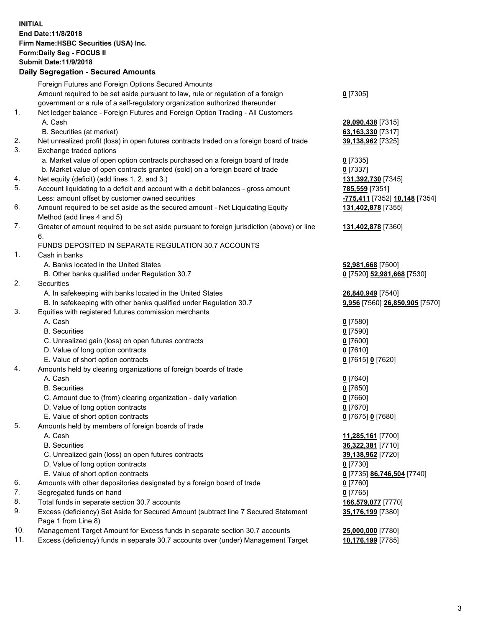**INITIAL End Date:11/8/2018 Firm Name:HSBC Securities (USA) Inc. Form:Daily Seg - FOCUS II Submit Date:11/9/2018 Daily Segregation - Secured Amounts** Foreign Futures and Foreign Options Secured Amounts Amount required to be set aside pursuant to law, rule or regulation of a foreign government or a rule of a self-regulatory organization authorized thereunder **0** [7305] 1. Net ledger balance - Foreign Futures and Foreign Option Trading - All Customers A. Cash **29,090,438** [7315] B. Securities (at market) **63,163,330** [7317] 2. Net unrealized profit (loss) in open futures contracts traded on a foreign board of trade **39,138,962** [7325] 3. Exchange traded options a. Market value of open option contracts purchased on a foreign board of trade **0** [7335] b. Market value of open contracts granted (sold) on a foreign board of trade **0** [7337] 4. Net equity (deficit) (add lines 1. 2. and 3.) **131,392,730** [7345] 5. Account liquidating to a deficit and account with a debit balances - gross amount **785,559** [7351] Less: amount offset by customer owned securities **-775,411** [7352] **10,148** [7354] 6. Amount required to be set aside as the secured amount - Net Liquidating Equity Method (add lines 4 and 5) **131,402,878** [7355] 7. Greater of amount required to be set aside pursuant to foreign jurisdiction (above) or line 6. **131,402,878** [7360] FUNDS DEPOSITED IN SEPARATE REGULATION 30.7 ACCOUNTS 1. Cash in banks A. Banks located in the United States **52,981,668** [7500] B. Other banks qualified under Regulation 30.7 **0** [7520] **52,981,668** [7530] 2. Securities A. In safekeeping with banks located in the United States **26,840,949** [7540] B. In safekeeping with other banks qualified under Regulation 30.7 **9,956** [7560] **26,850,905** [7570] 3. Equities with registered futures commission merchants A. Cash **0** [7580] B. Securities **0** [7590] C. Unrealized gain (loss) on open futures contracts **0** [7600] D. Value of long option contracts **0** [7610] E. Value of short option contracts **0** [7615] **0** [7620] 4. Amounts held by clearing organizations of foreign boards of trade A. Cash **0** [7640] B. Securities **0** [7650] C. Amount due to (from) clearing organization - daily variation **0** [7660] D. Value of long option contracts **0** [7670] E. Value of short option contracts **0** [7675] **0** [7680] 5. Amounts held by members of foreign boards of trade A. Cash **11,285,161** [7700] B. Securities **36,322,381** [7710] C. Unrealized gain (loss) on open futures contracts **39,138,962** [7720]

- D. Value of long option contracts **0** [7730]
- E. Value of short option contracts **0** [7735] **86,746,504** [7740]
- 6. Amounts with other depositories designated by a foreign board of trade **0** [7760]
- 7. Segregated funds on hand **0** [7765]
- 8. Total funds in separate section 30.7 accounts **166,579,077** [7770]
- 9. Excess (deficiency) Set Aside for Secured Amount (subtract line 7 Secured Statement Page 1 from Line 8)
- 10. Management Target Amount for Excess funds in separate section 30.7 accounts **25,000,000** [7780]
- 11. Excess (deficiency) funds in separate 30.7 accounts over (under) Management Target **10,176,199** [7785]

**35,176,199** [7380]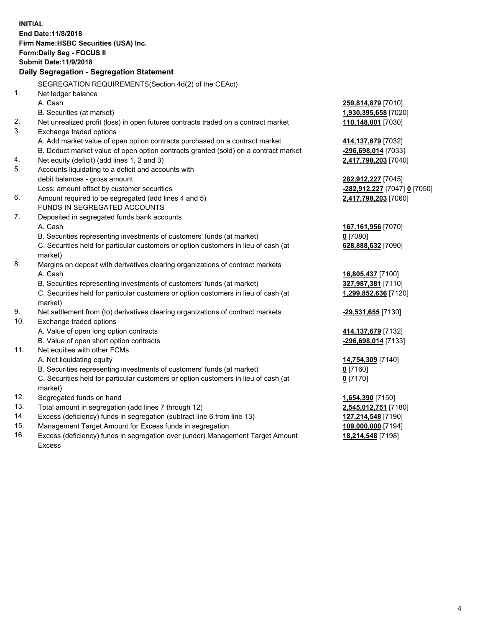|     | <b>INITIAL</b>                                                                      |                             |
|-----|-------------------------------------------------------------------------------------|-----------------------------|
|     | End Date: 11/8/2018                                                                 |                             |
|     | Firm Name: HSBC Securities (USA) Inc.                                               |                             |
|     | Form: Daily Seg - FOCUS II                                                          |                             |
|     | <b>Submit Date:11/9/2018</b>                                                        |                             |
|     | Daily Segregation - Segregation Statement                                           |                             |
|     | SEGREGATION REQUIREMENTS(Section 4d(2) of the CEAct)                                |                             |
| 1.  | Net ledger balance                                                                  |                             |
|     | A. Cash                                                                             | 259,814,879 [7010]          |
|     | B. Securities (at market)                                                           | 1,930,395,658 [7020]        |
| 2.  | Net unrealized profit (loss) in open futures contracts traded on a contract market  | 110,148,001 [7030]          |
| 3.  | Exchange traded options                                                             |                             |
|     | A. Add market value of open option contracts purchased on a contract market         | 414,137,679 [7032]          |
|     | B. Deduct market value of open option contracts granted (sold) on a contract market | -296,698,014 [7033]         |
| 4.  | Net equity (deficit) (add lines 1, 2 and 3)                                         | 2,417,798,203 [7040]        |
| 5.  | Accounts liquidating to a deficit and accounts with                                 |                             |
|     | debit balances - gross amount                                                       | 282,912,227 [7045]          |
|     | Less: amount offset by customer securities                                          | 282,912,227 [7047] 0 [7050] |
| 6.  | Amount required to be segregated (add lines 4 and 5)                                | 2,417,798,203 [7060]        |
|     | FUNDS IN SEGREGATED ACCOUNTS                                                        |                             |
| 7.  | Deposited in segregated funds bank accounts                                         |                             |
|     | A. Cash                                                                             | 167, 161, 956 [7070]        |
|     | B. Securities representing investments of customers' funds (at market)              | $0$ [7080]                  |
|     | C. Securities held for particular customers or option customers in lieu of cash (at | 628,888,632 [7090]          |
|     | market)                                                                             |                             |
| 8.  | Margins on deposit with derivatives clearing organizations of contract markets      |                             |
|     | A. Cash                                                                             | 16,805,437 [7100]           |
|     | B. Securities representing investments of customers' funds (at market)              | 327,987,381 [7110]          |
|     | C. Securities held for particular customers or option customers in lieu of cash (at | 1,299,852,636 [7120]        |
|     | market)                                                                             |                             |
| 9.  | Net settlement from (to) derivatives clearing organizations of contract markets     | -29,531,655 [7130]          |
| 10. | Exchange traded options                                                             |                             |
|     | A. Value of open long option contracts                                              | 414,137,679 [7132]          |
|     | B. Value of open short option contracts                                             | -296,698,014 [7133]         |
| 11. | Net equities with other FCMs                                                        |                             |
|     | A. Net liquidating equity                                                           | 14,754,309 [7140]           |
|     | B. Securities representing investments of customers' funds (at market)              | $0$ [7160]                  |
|     | C. Securities held for particular customers or option customers in lieu of cash (at | $0$ [7170]                  |
|     | market)                                                                             |                             |
| 12. | Segregated funds on hand                                                            | 1,654,390 [7150]            |
| 13. | Total amount in segregation (add lines 7 through 12)                                | 2,545,012,751 [7180]        |
| 14. | Excess (deficiency) funds in segregation (subtract line 6 from line 13)             | 127,214,548 [7190]          |
| 15. | Management Target Amount for Excess funds in segregation                            | 109,000,000 [7194]          |
| 16. | Excess (deficiency) funds in segregation over (under) Management Target Amount      | 18,214,548 [7198]           |

16. Excess (deficiency) funds in segregation over (under) Management Target Amount Excess